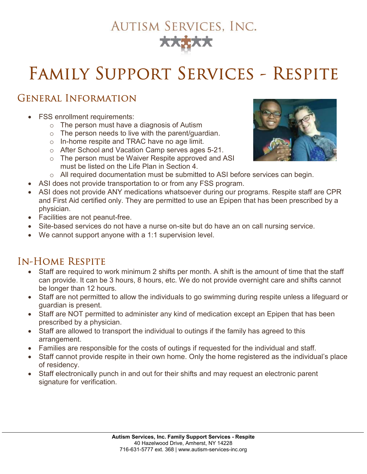# **AUTISM SERVICES, INC.**

# Family Support Services - Respite

## General Information

- FSS enrollment requirements:
	- o The person must have a diagnosis of Autism
	- $\circ$  The person needs to live with the parent/guardian.
	- o In-home respite and TRAC have no age limit.
	- o After School and Vacation Camp serves ages 5-21.
	- o The person must be Waiver Respite approved and ASI must be listed on the Life Plan in Section 4.
	- o All required documentation must be submitted to ASI before services can begin.
- ASI does not provide transportation to or from any FSS program.
- ASI does not provide ANY medications whatsoever during our programs. Respite staff are CPR and First Aid certified only. They are permitted to use an Epipen that has been prescribed by a physician.
- Facilities are not peanut-free.
- Site-based services do not have a nurse on-site but do have an on call nursing service.
- We cannot support anyone with a 1:1 supervision level.

#### In-Home Respite

- Staff are required to work minimum 2 shifts per month. A shift is the amount of time that the staff can provide. It can be 3 hours, 8 hours, etc. We do not provide overnight care and shifts cannot be longer than 12 hours.
- Staff are not permitted to allow the individuals to go swimming during respite unless a lifeguard or guardian is present.
- Staff are NOT permitted to administer any kind of medication except an Epipen that has been prescribed by a physician.
- Staff are allowed to transport the individual to outings if the family has agreed to this arrangement.
- Families are responsible for the costs of outings if requested for the individual and staff.
- Staff cannot provide respite in their own home. Only the home registered as the individual's place of residency.
- Staff electronically punch in and out for their shifts and may request an electronic parent signature for verification.